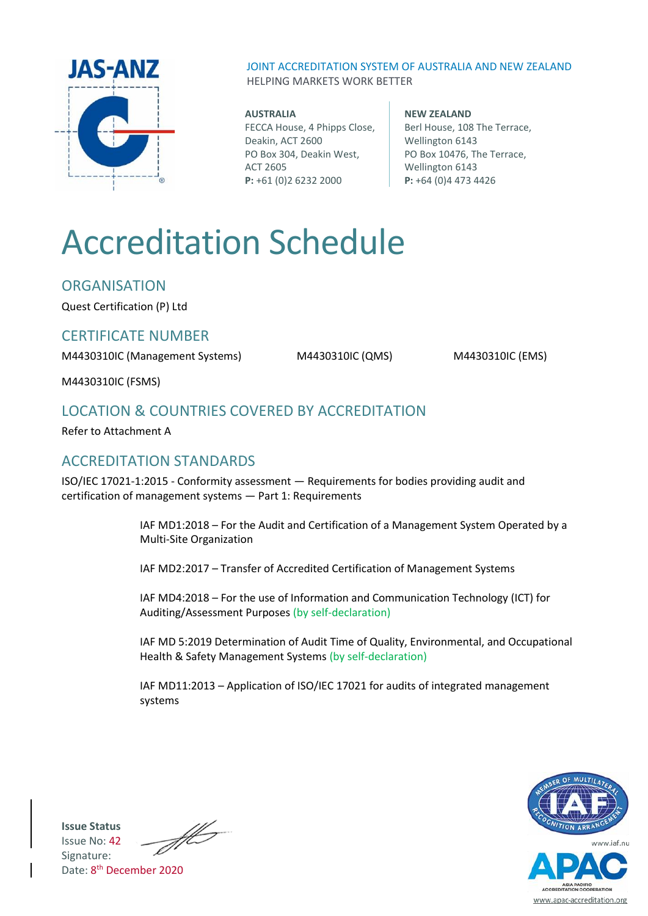

JOINT ACCREDITATION SYSTEM OF AUSTRALIA AND NEW ZEALAND HELPING MARKETS WORK BETTER

# **AUSTRALIA**

FECCA House, 4 Phipps Close, Deakin, ACT 2600 PO Box 304, Deakin West, ACT 2605 **P:** +61 (0)2 6232 2000

#### **NEW ZEALAND** Berl House, 108 The Terrace, Wellington 6143 PO Box 10476, The Terrace, Wellington 6143 **P:** +64 (0)4 473 4426

# Accreditation Schedule

**ORGANISATION** 

Quest Certification (P) Ltd

# CERTIFICATE NUMBER

M4430310IC (Management Systems) M4430310IC (QMS) M4430310IC (EMS)

M4430310IC (FSMS)

# LOCATION & COUNTRIES COVERED BY ACCREDITATION

Refer to Attachment A

# ACCREDITATION STANDARDS

ISO/IEC 17021-1:2015 - Conformity assessment — Requirements for bodies providing audit and certification of management systems — Part 1: Requirements

> IAF MD1:2018 – For the Audit and Certification of a Management System Operated by a Multi-Site Organization

IAF MD2:2017 – Transfer of Accredited Certification of Management Systems

IAF MD4:2018 – For the use of Information and Communication Technology (ICT) for Auditing/Assessment Purposes (by self-declaration)

IAF MD 5:2019 Determination of Audit Time of Quality, Environmental, and Occupational Health & Safety Management Systems (by self-declaration)

IAF MD11:2013 – Application of ISO/IEC 17021 for audits of integrated management systems



www.apac-accreditation.org

**Issue Status** Issue No: 42 Signature: Date: 8<sup>th</sup> December 2020

 $\mathscr{H}$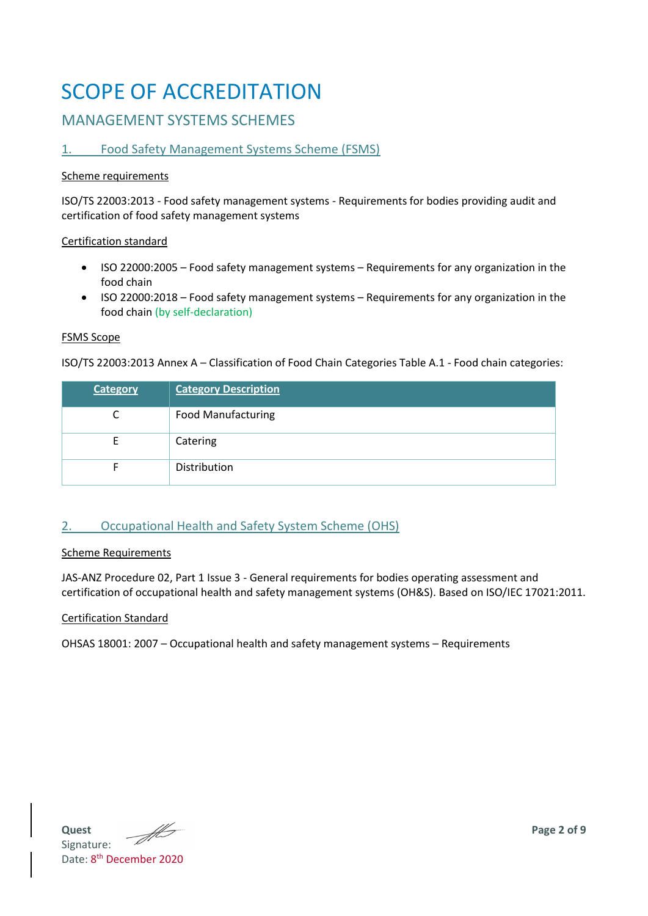# SCOPE OF ACCREDITATION

# MANAGEMENT SYSTEMS SCHEMES

### 1. Food Safety Management Systems Scheme (FSMS)

#### Scheme requirements

ISO/TS 22003:2013 - Food safety management systems - Requirements for bodies providing audit and certification of food safety management systems

#### Certification standard

- ISO 22000:2005 Food safety management systems Requirements for any organization in the food chain
- ISO 22000:2018 Food safety management systems Requirements for any organization in the food chain (by self-declaration)

#### FSMS Scope

ISO/TS 22003:2013 Annex A – Classification of Food Chain Categories Table A.1 - Food chain categories:

| <b>Category</b> | <b>Category Description</b> |
|-----------------|-----------------------------|
|                 | <b>Food Manufacturing</b>   |
|                 | Catering                    |
|                 | Distribution                |

# 2. Occupational Health and Safety System Scheme (OHS)

#### Scheme Requirements

JAS-ANZ Procedure 02, Part 1 Issue 3 - General requirements for bodies operating assessment and certification of occupational health and safety management systems (OH&S). Based on ISO/IEC 17021:2011.

#### Certification Standard

OHSAS 18001: 2007 – Occupational health and safety management systems – Requirements

**Quest Page 2 of 9** Signature: Date: 8<sup>th</sup> December 2020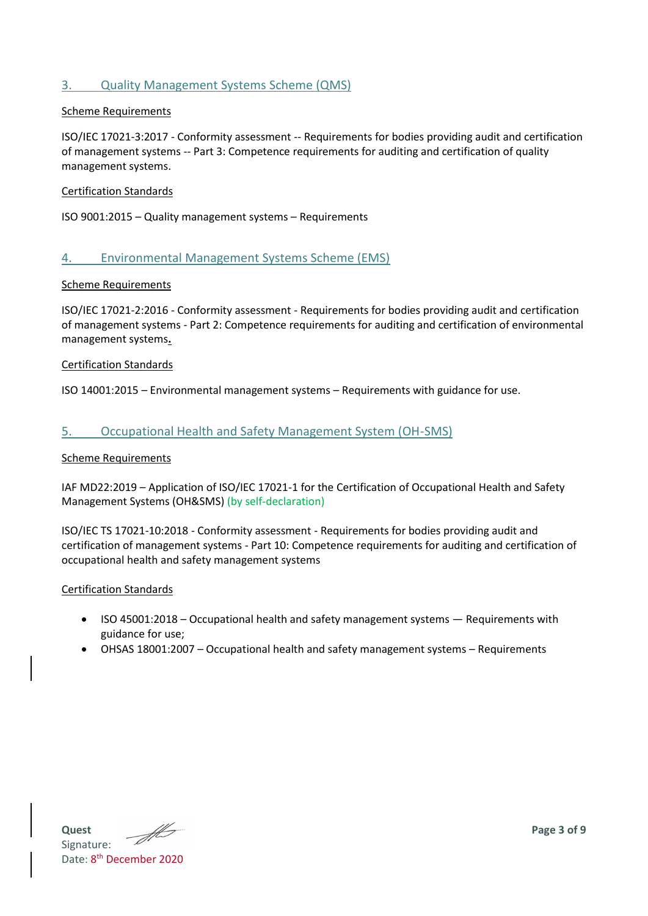#### 3. Quality Management Systems Scheme (QMS)

#### Scheme Requirements

ISO/IEC 17021-3:2017 - Conformity assessment -- Requirements for bodies providing audit and certification of management systems -- Part 3: Competence requirements for auditing and certification of quality management systems.

#### Certification Standards

ISO 9001:2015 – Quality management systems – Requirements

#### 4. Environmental Management Systems Scheme (EMS)

#### Scheme Requirements

ISO/IEC 17021-2:2016 - Conformity assessment - Requirements for bodies providing audit and certification of management systems - Part 2: Competence requirements for auditing and certification of environmental management systems**.**

#### Certification Standards

ISO 14001:2015 – Environmental management systems – Requirements with guidance for use.

#### 5. Occupational Health and Safety Management System (OH-SMS)

#### Scheme Requirements

IAF MD22:2019 – Application of ISO/IEC 17021-1 for the Certification of Occupational Health and Safety Management Systems (OH&SMS) (by self-declaration)

ISO/IEC TS 17021-10:2018 - Conformity assessment - Requirements for bodies providing audit and certification of management systems - Part 10: Competence requirements for auditing and certification of occupational health and safety management systems

#### Certification Standards

- ISO 45001:2018 Occupational health and safety management systems Requirements with guidance for use;
- OHSAS 18001:2007 Occupational health and safety management systems Requirements

**Quest Page 3 of 9**<br>Signature: **Page 3** of 9 Signature: Date: 8<sup>th</sup> December 2020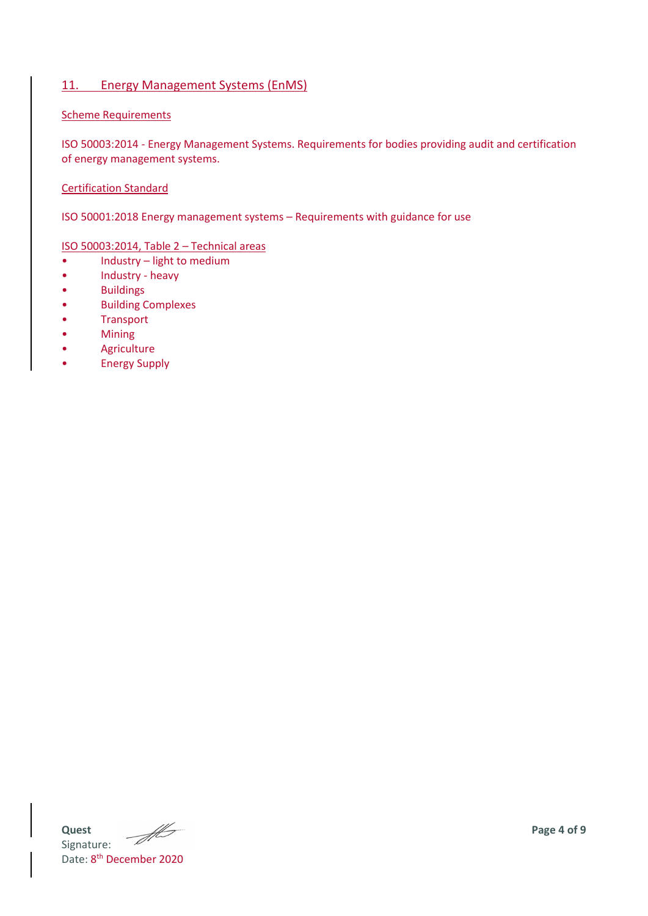## 11. Energy Management Systems (EnMS)

#### Scheme Requirements

ISO 50003:2014 - Energy Management Systems. Requirements for bodies providing audit and certification of energy management systems.

#### Certification Standard

ISO 50001:2018 Energy management systems – Requirements with guidance for use

#### ISO 50003:2014, Table 2 – Technical areas

- Industry light to medium
- Industry heavy
- Buildings
- Building Complexes
- **Transport**
- Mining
- **Agriculture**
- Energy Supply

**Quest Page 4** of 9 Signature: Date: 8<sup>th</sup> December 2020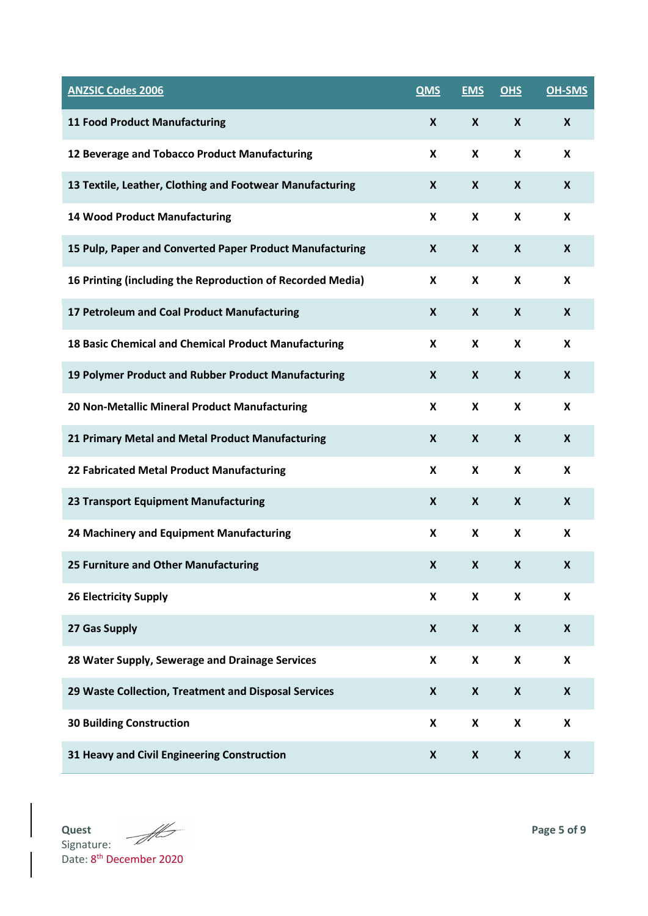| <b>ANZSIC Codes 2006</b>                                   | <b>QMS</b>       | <b>EMS</b>         | <b>OHS</b>                | <b>OH-SMS</b>             |
|------------------------------------------------------------|------------------|--------------------|---------------------------|---------------------------|
| <b>11 Food Product Manufacturing</b>                       | X                | X                  | X                         | X                         |
| 12 Beverage and Tobacco Product Manufacturing              | X                | X                  | X                         | $\mathsf{x}$              |
| 13 Textile, Leather, Clothing and Footwear Manufacturing   | X                | $\boldsymbol{x}$   | X                         | $\boldsymbol{\mathsf{X}}$ |
| <b>14 Wood Product Manufacturing</b>                       | X                | X                  | X                         | X                         |
| 15 Pulp, Paper and Converted Paper Product Manufacturing   | X                | X                  | X                         | $\boldsymbol{X}$          |
| 16 Printing (including the Reproduction of Recorded Media) | X                | X                  | X                         | X                         |
| 17 Petroleum and Coal Product Manufacturing                | X                | X                  | X                         | $\boldsymbol{X}$          |
| 18 Basic Chemical and Chemical Product Manufacturing       | X                | $\pmb{\mathsf{x}}$ | X                         | $\boldsymbol{\mathsf{X}}$ |
| 19 Polymer Product and Rubber Product Manufacturing        | $\boldsymbol{x}$ | $\pmb{\mathsf{X}}$ | X                         | X                         |
| 20 Non-Metallic Mineral Product Manufacturing              | X                | $\pmb{\mathsf{x}}$ | X                         | X                         |
| 21 Primary Metal and Metal Product Manufacturing           | X                | X                  | X                         | X                         |
| 22 Fabricated Metal Product Manufacturing                  | X                | $\pmb{\mathsf{x}}$ | X                         | X                         |
| 23 Transport Equipment Manufacturing                       | X                | X                  | X                         | $\boldsymbol{X}$          |
| 24 Machinery and Equipment Manufacturing                   | X                | $\pmb{\mathsf{x}}$ | $\boldsymbol{\mathsf{x}}$ | X                         |
| 25 Furniture and Other Manufacturing                       | X                | $\pmb{\mathsf{X}}$ | X                         |                           |
| <b>26 Electricity Supply</b>                               | X                | X                  | $\pmb{\mathsf{X}}$        | $\boldsymbol{\mathsf{x}}$ |
| 27 Gas Supply                                              | X                | $\pmb{\mathsf{X}}$ | $\boldsymbol{x}$          | $\pmb{\mathsf{X}}$        |
| 28 Water Supply, Sewerage and Drainage Services            | X                | X                  | $\boldsymbol{\mathsf{x}}$ | X                         |
| 29 Waste Collection, Treatment and Disposal Services       | $\boldsymbol{x}$ | $\pmb{\mathsf{X}}$ | $\boldsymbol{x}$          | $\boldsymbol{\mathsf{X}}$ |
| <b>30 Building Construction</b>                            | X                | X                  | X                         | $\pmb{\mathsf{X}}$        |
| 31 Heavy and Civil Engineering Construction                | X                | $\pmb{\mathsf{X}}$ | $\pmb{\mathsf{X}}$        | X                         |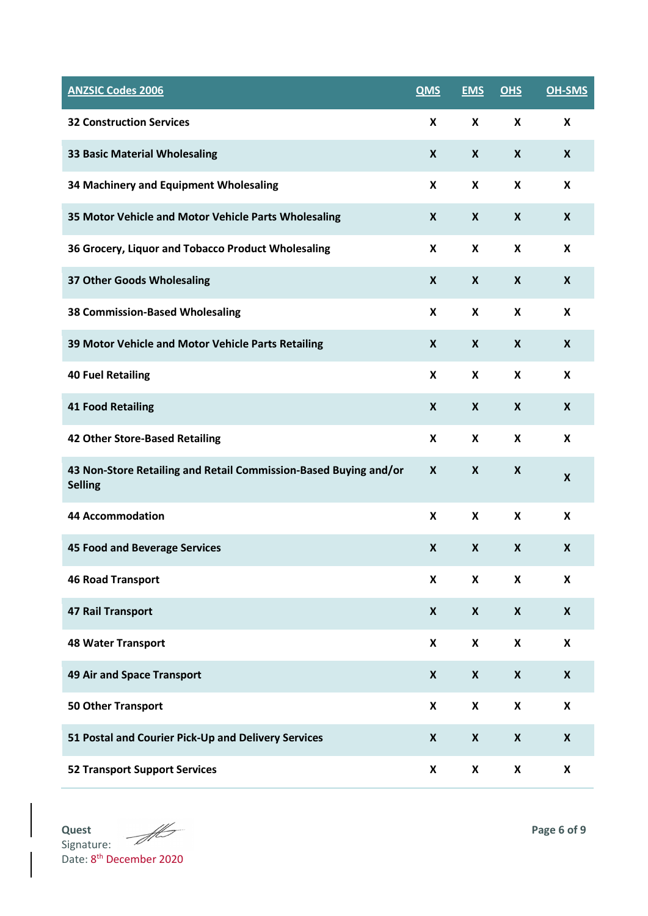| <b>ANZSIC Codes 2006</b>                                                           | <b>QMS</b>       | <b>EMS</b>                | OHS                       | <b>OH-SMS</b>             |
|------------------------------------------------------------------------------------|------------------|---------------------------|---------------------------|---------------------------|
| <b>32 Construction Services</b>                                                    | X                | X                         | $\boldsymbol{\mathsf{X}}$ | X                         |
| <b>33 Basic Material Wholesaling</b>                                               | X                | X                         | X                         | X                         |
| 34 Machinery and Equipment Wholesaling                                             | X                | X                         | X                         | X                         |
| 35 Motor Vehicle and Motor Vehicle Parts Wholesaling                               | X                | X                         | X                         | X                         |
| 36 Grocery, Liquor and Tobacco Product Wholesaling                                 | X                | X                         | X                         | X                         |
| 37 Other Goods Wholesaling                                                         | X                | X                         | $\boldsymbol{X}$          | X                         |
| <b>38 Commission-Based Wholesaling</b>                                             | X                | X                         | X                         | $\boldsymbol{\mathsf{X}}$ |
| 39 Motor Vehicle and Motor Vehicle Parts Retailing                                 | X                | X                         | $\boldsymbol{X}$          | X                         |
| <b>40 Fuel Retailing</b>                                                           | X                | X                         | X                         | $\mathsf{x}$              |
| <b>41 Food Retailing</b>                                                           | $\boldsymbol{x}$ | $\boldsymbol{X}$          | X                         | $\boldsymbol{X}$          |
| 42 Other Store-Based Retailing                                                     | X                | X                         | X                         | X                         |
| 43 Non-Store Retailing and Retail Commission-Based Buying and/or<br><b>Selling</b> | X                | $\boldsymbol{\mathsf{X}}$ | X                         | X                         |
| <b>44 Accommodation</b>                                                            | X                | X                         | X                         | X                         |
| <b>45 Food and Beverage Services</b>                                               | X                | $\boldsymbol{x}$          | $\boldsymbol{X}$          | X                         |
| <b>46 Road Transport</b>                                                           | X                | $\boldsymbol{\mathsf{X}}$ | $\boldsymbol{\mathsf{x}}$ | $\boldsymbol{\mathsf{X}}$ |
| <b>47 Rail Transport</b>                                                           | $\boldsymbol{x}$ | $\boldsymbol{X}$          | $\boldsymbol{x}$          | $\boldsymbol{X}$          |
| <b>48 Water Transport</b>                                                          | X                | X                         | $\boldsymbol{\mathsf{x}}$ | X                         |
| 49 Air and Space Transport                                                         | X                | $\boldsymbol{X}$          | $\boldsymbol{x}$          | $\boldsymbol{X}$          |
| <b>50 Other Transport</b>                                                          | X                | X                         | $\boldsymbol{\mathsf{x}}$ | X                         |
| 51 Postal and Courier Pick-Up and Delivery Services                                | $\boldsymbol{x}$ | $\boldsymbol{X}$          | $\boldsymbol{x}$          | $\boldsymbol{X}$          |
| <b>52 Transport Support Services</b>                                               | X                | X                         | X                         | X                         |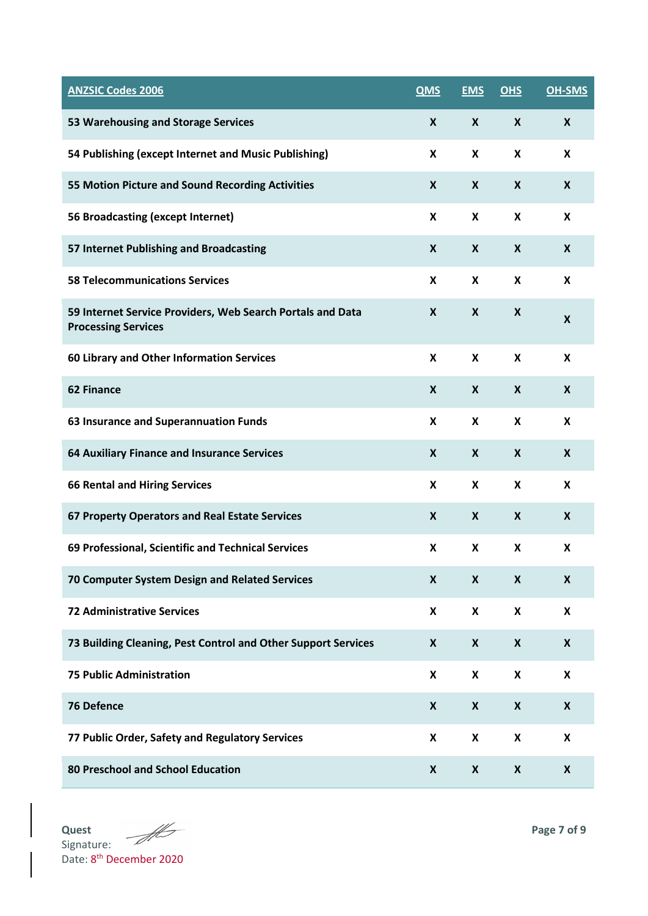| <b>ANZSIC Codes 2006</b>                                                                 | <b>QMS</b>       | <b>EMS</b>                | <b>OHS</b>                | <b>OH-SMS</b>             |
|------------------------------------------------------------------------------------------|------------------|---------------------------|---------------------------|---------------------------|
| 53 Warehousing and Storage Services                                                      | X                | X                         | $\boldsymbol{X}$          | X                         |
| 54 Publishing (except Internet and Music Publishing)                                     | X                | X                         | X                         | X                         |
| 55 Motion Picture and Sound Recording Activities                                         | $\boldsymbol{X}$ | $\boldsymbol{X}$          | X                         | $\boldsymbol{X}$          |
| 56 Broadcasting (except Internet)                                                        | X                | X                         | X                         | X                         |
| 57 Internet Publishing and Broadcasting                                                  | X                | X                         | X                         | X                         |
| <b>58 Telecommunications Services</b>                                                    | X                | X                         | X                         | X                         |
| 59 Internet Service Providers, Web Search Portals and Data<br><b>Processing Services</b> | X                | X                         | X                         | $\boldsymbol{X}$          |
| 60 Library and Other Information Services                                                | X                | X                         | X                         | X                         |
| <b>62 Finance</b>                                                                        | $\boldsymbol{X}$ | $\boldsymbol{X}$          | $\boldsymbol{X}$          | X                         |
| 63 Insurance and Superannuation Funds                                                    | X                | X                         | X                         | $\mathsf{x}$              |
| 64 Auxiliary Finance and Insurance Services                                              | $\boldsymbol{X}$ | $\boldsymbol{X}$          | X                         | X                         |
| <b>66 Rental and Hiring Services</b>                                                     | X                | X                         | X                         | X                         |
| 67 Property Operators and Real Estate Services                                           | X                | X                         | X                         | X                         |
| 69 Professional, Scientific and Technical Services                                       | X                | $\boldsymbol{\mathsf{X}}$ | $\boldsymbol{\mathsf{X}}$ | $\boldsymbol{\mathsf{X}}$ |
| 70 Computer System Design and Related Services                                           | X                | X                         | X                         | X                         |
| <b>72 Administrative Services</b>                                                        | X                | $\boldsymbol{\mathsf{X}}$ | X                         | X                         |
| 73 Building Cleaning, Pest Control and Other Support Services                            | X                | X                         | $\boldsymbol{x}$          | X                         |
| <b>75 Public Administration</b>                                                          | X                | $\boldsymbol{\mathsf{X}}$ | X                         | X                         |
| <b>76 Defence</b>                                                                        | X                | X                         | X                         | X                         |
| 77 Public Order, Safety and Regulatory Services                                          | X                | X                         | X                         | X                         |
| 80 Preschool and School Education                                                        | X                | X                         | X                         | $\boldsymbol{X}$          |

**Quest Page 7** of 9 **Page 7** of 9 Signature: Date: 8<sup>th</sup> December 2020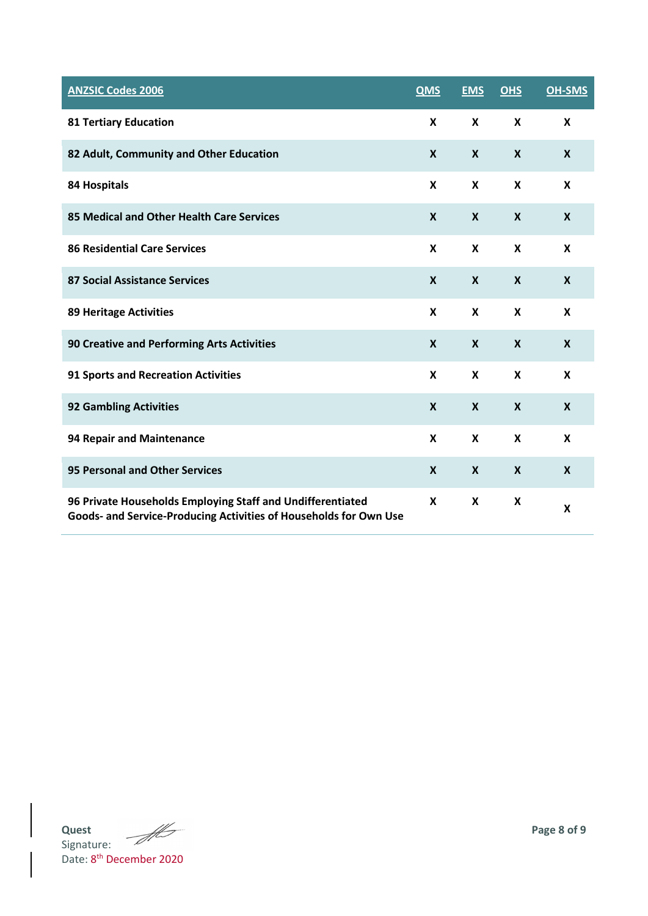| <b>ANZSIC Codes 2006</b>                                                                                                        | <b>QMS</b>       | <b>EMS</b>                | OHS                       | <b>OH-SMS</b>    |
|---------------------------------------------------------------------------------------------------------------------------------|------------------|---------------------------|---------------------------|------------------|
| <b>81 Tertiary Education</b>                                                                                                    | X                | X                         | $\boldsymbol{\mathsf{x}}$ | X                |
| 82 Adult, Community and Other Education                                                                                         | X                | $\boldsymbol{X}$          | $\boldsymbol{X}$          | $\boldsymbol{X}$ |
| 84 Hospitals                                                                                                                    | X                | X                         | X                         | X                |
| 85 Medical and Other Health Care Services                                                                                       | X                | X                         | $\boldsymbol{X}$          | $\boldsymbol{X}$ |
| <b>86 Residential Care Services</b>                                                                                             | X                | X                         | X                         | X                |
| <b>87 Social Assistance Services</b>                                                                                            | $\boldsymbol{X}$ | $\boldsymbol{X}$          | $\boldsymbol{X}$          | $\boldsymbol{X}$ |
| <b>89 Heritage Activities</b>                                                                                                   | X                | X                         | X                         | $\mathbf{x}$     |
| <b>90 Creative and Performing Arts Activities</b>                                                                               | $\boldsymbol{X}$ | $\boldsymbol{\mathsf{X}}$ | $\boldsymbol{X}$          | $\boldsymbol{X}$ |
| <b>91 Sports and Recreation Activities</b>                                                                                      | X                | X                         | X                         | X                |
| <b>92 Gambling Activities</b>                                                                                                   | X                | $\boldsymbol{\mathsf{X}}$ | $\boldsymbol{X}$          | $\boldsymbol{X}$ |
| 94 Repair and Maintenance                                                                                                       | X                | X                         | X                         | $\mathsf{x}$     |
| <b>95 Personal and Other Services</b>                                                                                           | X                | X                         | $\boldsymbol{X}$          | X                |
| 96 Private Households Employing Staff and Undifferentiated<br>Goods- and Service-Producing Activities of Households for Own Use | X                | X                         | X                         | X                |